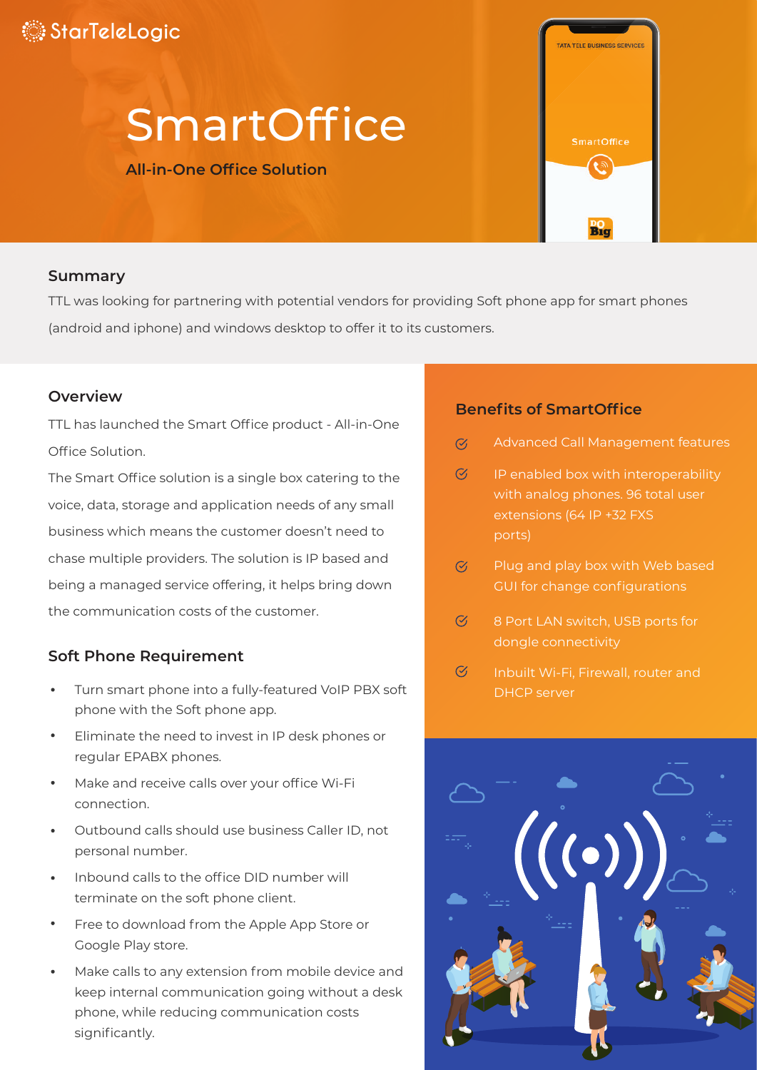# **StarTeleLogic**

# **SmartOffice**

#### **All-in-One Office Solution**

#### **Summary**

TTL was looking for partnering with potential vendors for providing Soft phone app for smart phones (android and iphone) and windows desktop to offer it to its customers.

#### **Overview**

TTL has launched the Smart Office product - All-in-One Office Solution.

The Smart Office solution is a single box catering to the voice, data, storage and application needs of any small business which means the customer doesn't need to chase multiple providers. The solution is IP based and being a managed service offering, it helps bring down the communication costs of the customer.

#### **Soft Phone Requirement**

- Turn smart phone into a fully-featured VoIP PBX soft phone with the Soft phone app.
- Eliminate the need to invest in IP desk phones or regular EPABX phones.
- Make and receive calls over your office Wi-Fi connection.
- Outbound calls should use business Caller ID, not personal number.
- Inbound calls to the office DID number will terminate on the soft phone client.
- Free to download from the Apple App Store or Google Play store.
- Make calls to any extension from mobile device and keep internal communication going without a desk phone, while reducing communication costs significantly.

#### **Benefits of SmartOffice**

Advanced Call Management features  $\mathcal{C}'$ 

**ATA TELE BUSINESS SERVICE** 

**SmartOffice** ه)

 $B1q$ 

- $\mathcal{C}'$ IP enabled box with interoperability with analog phones. 96 total user ports)
- $\overline{C}$ Plug and play box with Web based GUI for change configurations
- $\overline{C}$ 8 Port LAN switch, USB ports for dongle connectivity
- $\mathcal{C}$ DHCP server

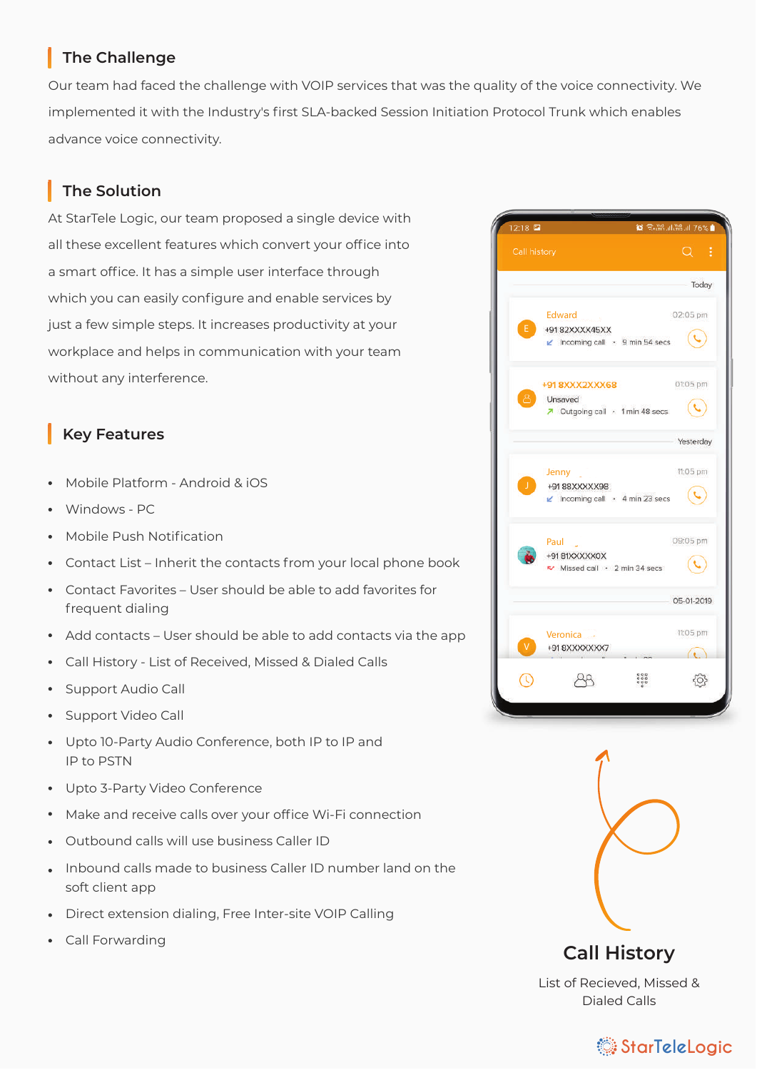#### **The Challenge**

Our team had faced the challenge with VOIP services that was the quality of the voice connectivity. We implemented it with the Industry's first SLA-backed Session Initiation Protocol Trunk which enables advance voice connectivity.

### **The Solution**

At StarTele Logic, our team proposed a single device with all these excellent features which convert your office into a smart office. It has a simple user interface through which you can easily configure and enable services by just a few simple steps. It increases productivity at your workplace and helps in communication with your team without any interference.

#### **Key Features**

- Mobile Platform Android & iOS
- Windows PC
- Mobile Push Notification
- Contact List Inherit the contacts from your local phone book
- Contact Favorites User should be able to add favorites for frequent dialing
- Add contacts User should be able to add contacts via the app
- Call History List of Received, Missed & Dialed Calls
- Support Audio Call
- Support Video Call
- Upto 10-Party Audio Conference, both IP to IP and IP to PSTN
- Upto 3-Party Video Conference
- Make and receive calls over your office Wi-Fi connection
- Outbound calls will use business Caller ID
- Inbound calls made to business Caller ID number land on the soft client app
- Direct extension dialing, Free Inter-site VOIP Calling
- Call Forwarding





List of Recieved, Missed & Dialed Calls

## **StarTeleLogic**